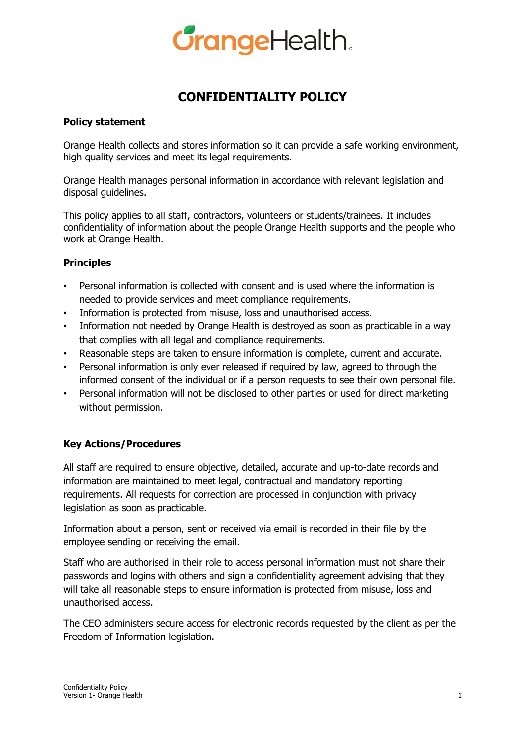

# **CONFIDENTIALITY POLICY**

### **Policy statement**

Orange Health collects and stores information so it can provide a safe working environment, high quality services and meet its legal requirements.

Orange Health manages personal information in accordance with relevant legislation and disposal guidelines.

This policy applies to all staff, contractors, volunteers or students/trainees. It includes confidentiality of information about the people Orange Health supports and the people who work at Orange Health.

### **Principles**

- Personal information is collected with consent and is used where the information is needed to provide services and meet compliance requirements.
- Information is protected from misuse, loss and unauthorised access.
- Information not needed by Orange Health is destroyed as soon as practicable in a way that complies with all legal and compliance requirements.
- Reasonable steps are taken to ensure information is complete, current and accurate.
- Personal information is only ever released if required by law, agreed to through the informed consent of the individual or if a person requests to see their own personal file.
- Personal information will not be disclosed to other parties or used for direct marketing without permission.

### **Key Actions/Procedures**

All staff are required to ensure objective, detailed, accurate and up-to-date records and information are maintained to meet legal, contractual and mandatory reporting requirements. All requests for correction are processed in conjunction with privacy legislation as soon as practicable.

Information about a person, sent or received via email is recorded in their file by the employee sending or receiving the email.

Staff who are authorised in their role to access personal information must not share their passwords and logins with others and sign a confidentiality agreement advising that they will take all reasonable steps to ensure information is protected from misuse, loss and unauthorised access.

The CEO administers secure access for electronic records requested by the client as per the Freedom of Information legislation.